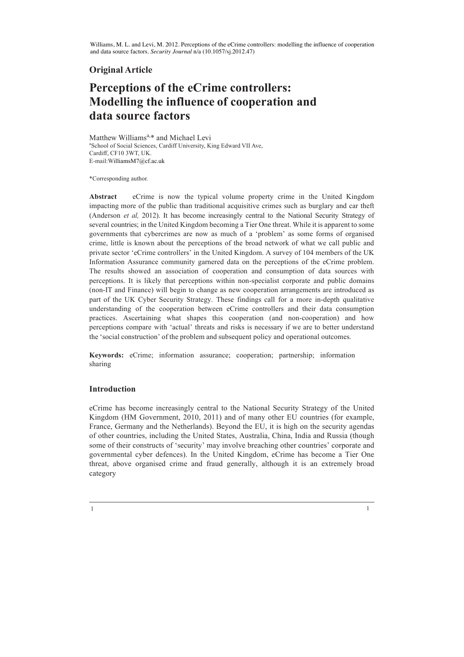Williams, M. L. and Levi, M. 2012. Perceptions of the eCrime controllers: modelling the influence of cooperation and data source factors. *Security Journal* n/a (10.1057/sj.2012.47)

**Original Article**

# **Perceptions of the eCrime controllers: Modelling the influence of cooperation and data source factors**

Matthew Williams<sup>a,\*</sup> and Michael Levi <sup>a</sup>School of Social Sciences, Cardiff University, King Edward VII Ave, Cardiff, CF10 3WT, UK. E-mail:WilliamsM7@cf.ac.uk

\*Corresponding author.

**Abstract** eCrime is now the typical volume property crime in the United Kingdom impacting more of the public than traditional acquisitive crimes such as burglary and car theft (Anderson *et al,* 2012). It has become increasingly central to the National Security Strategy of several countries; in the United Kingdom becoming a Tier One threat. While it is apparent to some governments that cybercrimes are now as much of a 'problem' as some forms of organised crime, little is known about the perceptions of the broad network of what we call public and private sector 'eCrime controllers' in the United Kingdom. A survey of 104 members of the UK Information Assurance community garnered data on the perceptions of the eCrime problem. The results showed an association of cooperation and consumption of data sources with perceptions. It is likely that perceptions within non-specialist corporate and public domains (non-IT and Finance) will begin to change as new cooperation arrangements are introduced as part of the UK Cyber Security Strategy. These findings call for a more in-depth qualitative understanding of the cooperation between eCrime controllers and their data consumption practices. Ascertaining what shapes this cooperation (and non-cooperation) and how perceptions compare with 'actual' threats and risks is necessary if we are to better understand the 'social construction' of the problem and subsequent policy and operational outcomes.

**Keywords:** eCrime; information assurance; cooperation; partnership; information sharing

### **Introduction**

eCrime has become increasingly central to the National Security Strategy of the United Kingdom (HM Government, 2010, 2011) and of many other EU countries (for example, France, Germany and the Netherlands). Beyond the EU, it is high on the security agendas of other countries, including the United States, Australia, China, India and Russia (though some of their constructs of 'security' may involve breaching other countries' corporate and governmental cyber defences). In the United Kingdom, eCrime has become a Tier One threat, above organised crime and fraud generally, although it is an extremely broad category

1 and 1 and 1 and 1 and 1 and 1 and 1 and 1 and 1 and 1 and 1 and 1 and 1 and 1 and 1 and 1 and 1 and 1 and 1 and 1 and 1 and 1 and 1 and 1 and 1 and 1 and 1 and 1 and 1 and 1 and 1 and 1 and 1 and 1 and 1 and 1 and 1 and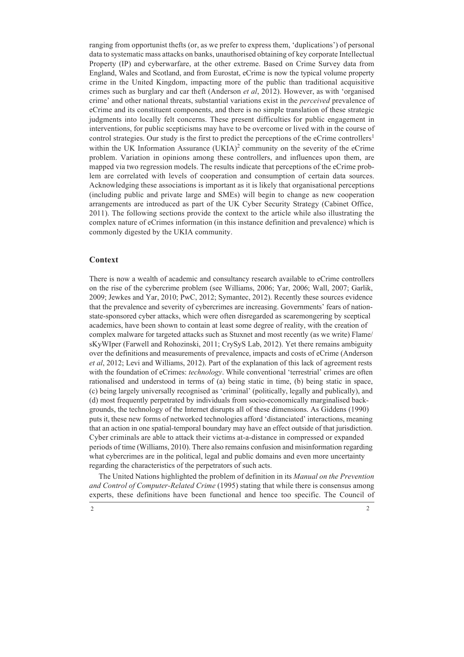ranging from opportunist thefts (or, as we prefer to express them, 'duplications') of personal data to systematic mass attacks on banks, unauthorised obtaining of key corporate Intellectual Property (IP) and cyberwarfare, at the other extreme. Based on Crime Survey data from England, Wales and Scotland, and from Eurostat, eCrime is now the typical volume property crime in the United Kingdom, impacting more of the public than traditional acquisitive crimes such as burglary and car theft (Anderson *et al*, 2012). However, as with 'organised crime' and other national threats, substantial variations exist in the *perceived* prevalence of eCrime and its constituent components, and there is no simple translation of these strategic judgments into locally felt concerns. These present difficulties for public engagement in interventions, for public scepticisms may have to be overcome or lived with in the course of control strategies. Our study is the first to predict the perceptions of the eCrime controllers<sup>1</sup> within the UK Information Assurance  $(UKIA)^2$  community on the severity of the eCrime problem. Variation in opinions among these controllers, and influences upon them, are mapped via two regression models. The results indicate that perceptions of the eCrime problem are correlated with levels of cooperation and consumption of certain data sources. Acknowledging these associations is important as it is likely that organisational perceptions (including public and private large and SMEs) will begin to change as new cooperation arrangements are introduced as part of the UK Cyber Security Strategy (Cabinet Office, 2011). The following sections provide the context to the article while also illustrating the complex nature of eCrimes information (in this instance definition and prevalence) which is commonly digested by the UKIA community.

# **Context**

There is now a wealth of academic and consultancy research available to eCrime controllers on the rise of the cybercrime problem (see Williams, 2006; Yar, 2006; Wall, 2007; Garlik, 2009; Jewkes and Yar, 2010; PwC, 2012; Symantec, 2012). Recently these sources evidence that the prevalence and severity of cybercrimes are increasing. Governments' fears of nationstate-sponsored cyber attacks, which were often disregarded as scaremongering by sceptical academics, have been shown to contain at least some degree of reality, with the creation of complex malware for targeted attacks such as Stuxnet and most recently (as we write) Flame/ sKyWIper (Farwell and Rohozinski, 2011; CrySyS Lab, 2012). Yet there remains ambiguity over the definitions and measurements of prevalence, impacts and costs of eCrime (Anderson *et al*, 2012; Levi and Williams, 2012). Part of the explanation of this lack of agreement rests with the foundation of eCrimes: *technology*. While conventional 'terrestrial' crimes are often rationalised and understood in terms of (a) being static in time, (b) being static in space, (c) being largely universally recognised as 'criminal' (politically, legally and publically), and (d) most frequently perpetrated by individuals from socio-economically marginalised backgrounds, the technology of the Internet disrupts all of these dimensions. As Giddens (1990) puts it, these new forms of networked technologies afford 'distanciated' interactions, meaning that an action in one spatial-temporal boundary may have an effect outside of that jurisdiction. Cyber criminals are able to attack their victims at-a-distance in compressed or expanded periods of time (Williams, 2010). There also remains confusion and misinformation regarding what cybercrimes are in the political, legal and public domains and even more uncertainty regarding the characteristics of the perpetrators of such acts.

The United Nations highlighted the problem of definition in its *Manual on the Prevention and Control of Computer-Related Crime* (1995) stating that while there is consensus among experts, these definitions have been functional and hence too specific. The Council of

2  $\sim$  2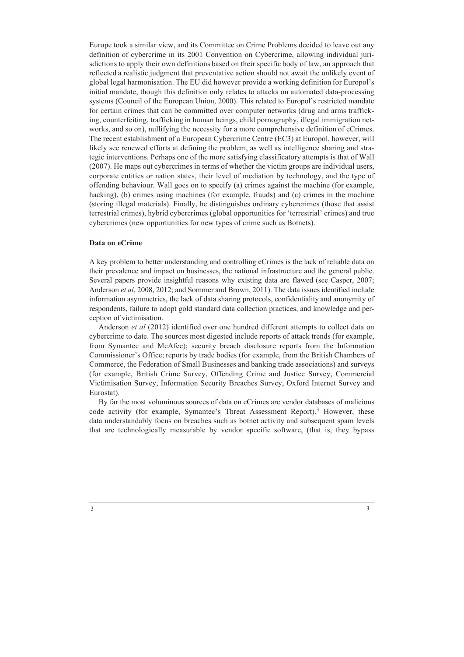Europe took a similar view, and its Committee on Crime Problems decided to leave out any definition of cybercrime in its 2001 Convention on Cybercrime, allowing individual jurisdictions to apply their own definitions based on their specific body of law, an approach that reflected a realistic judgment that preventative action should not await the unlikely event of global legal harmonisation. The EU did however provide a working definition for Europol's initial mandate, though this definition only relates to attacks on automated data-processing systems (Council of the European Union, 2000). This related to Europol's restricted mandate for certain crimes that can be committed over computer networks (drug and arms trafficking, counterfeiting, trafficking in human beings, child pornography, illegal immigration networks, and so on), nullifying the necessity for a more comprehensive definition of eCrimes. The recent establishment of a European Cybercrime Centre (EC3) at Europol, however, will likely see renewed efforts at defining the problem, as well as intelligence sharing and strategic interventions. Perhaps one of the more satisfying classificatory attempts is that of Wall (2007). He maps out cybercrimes in terms of whether the victim groups are individual users, corporate entities or nation states, their level of mediation by technology, and the type of offending behaviour. Wall goes on to specify (a) crimes against the machine (for example, hacking), (b) crimes using machines (for example, frauds) and (c) crimes in the machine (storing illegal materials). Finally, he distinguishes ordinary cybercrimes (those that assist terrestrial crimes), hybrid cybercrimes (global opportunities for 'terrestrial' crimes) and true cybercrimes (new opportunities for new types of crime such as Botnets).

# **Data on eCrime**

A key problem to better understanding and controlling eCrimes is the lack of reliable data on their prevalence and impact on businesses, the national infrastructure and the general public. Several papers provide insightful reasons why existing data are flawed (see Casper, 2007; Anderson *et al*, 2008, 2012; and Sommer and Brown, 2011). The data issues identified include information asymmetries, the lack of data sharing protocols, confidentiality and anonymity of respondents, failure to adopt gold standard data collection practices, and knowledge and perception of victimisation.

Anderson *et al* (2012) identified over one hundred different attempts to collect data on cybercrime to date. The sources most digested include reports of attack trends (for example, from Symantec and McAfee); security breach disclosure reports from the Information Commissioner's Office; reports by trade bodies (for example, from the British Chambers of Commerce, the Federation of Small Businesses and banking trade associations) and surveys (for example, British Crime Survey, Offending Crime and Justice Survey, Commercial Victimisation Survey, Information Security Breaches Survey, Oxford Internet Survey and Eurostat).

By far the most voluminous sources of data on eCrimes are vendor databases of malicious code activity (for example, Symantec's Threat Assessment Report).<sup>3</sup> However, these data understandably focus on breaches such as botnet activity and subsequent spam levels that are technologically measurable by vendor specific software, (that is, they bypass

 $3 \times 3$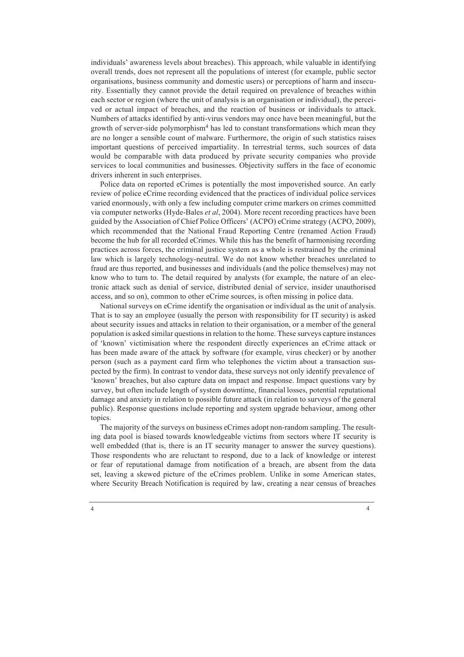individuals' awareness levels about breaches). This approach, while valuable in identifying overall trends, does not represent all the populations of interest (for example, public sector organisations, business community and domestic users) or perceptions of harm and insecurity. Essentially they cannot provide the detail required on prevalence of breaches within each sector or region (where the unit of analysis is an organisation or individual), the perceived or actual impact of breaches, and the reaction of business or individuals to attack. Numbers of attacks identified by anti-virus vendors may once have been meaningful, but the growth of server-side polymorphism<sup>4</sup> has led to constant transformations which mean they are no longer a sensible count of malware. Furthermore, the origin of such statistics raises important questions of perceived impartiality. In terrestrial terms, such sources of data would be comparable with data produced by private security companies who provide services to local communities and businesses. Objectivity suffers in the face of economic drivers inherent in such enterprises.

Police data on reported eCrimes is potentially the most impoverished source. An early review of police eCrime recording evidenced that the practices of individual police services varied enormously, with only a few including computer crime markers on crimes committed via computer networks (Hyde-Bales *et al*, 2004). More recent recording practices have been guided by the Association of Chief Police Officers' (ACPO) eCrime strategy (ACPO, 2009), which recommended that the National Fraud Reporting Centre (renamed Action Fraud) become the hub for all recorded eCrimes. While this has the benefit of harmonising recording practices across forces, the criminal justice system as a whole is restrained by the criminal law which is largely technology-neutral. We do not know whether breaches unrelated to fraud are thus reported, and businesses and individuals (and the police themselves) may not know who to turn to. The detail required by analysts (for example, the nature of an electronic attack such as denial of service, distributed denial of service, insider unauthorised access, and so on), common to other eCrime sources, is often missing in police data.

National surveys on eCrime identify the organisation or individual as the unit of analysis. That is to say an employee (usually the person with responsibility for IT security) is asked about security issues and attacks in relation to their organisation, or a member of the general population is asked similar questions in relation to the home. These surveys capture instances of 'known' victimisation where the respondent directly experiences an eCrime attack or has been made aware of the attack by software (for example, virus checker) or by another person (such as a payment card firm who telephones the victim about a transaction suspected by the firm). In contrast to vendor data, these surveys not only identify prevalence of 'known' breaches, but also capture data on impact and response. Impact questions vary by survey, but often include length of system downtime, financial losses, potential reputational damage and anxiety in relation to possible future attack (in relation to surveys of the general public). Response questions include reporting and system upgrade behaviour, among other topics.

The majority of the surveys on business eCrimes adopt non-random sampling. The resulting data pool is biased towards knowledgeable victims from sectors where IT security is well embedded (that is, there is an IT security manager to answer the survey questions). Those respondents who are reluctant to respond, due to a lack of knowledge or interest or fear of reputational damage from notification of a breach, are absent from the data set, leaving a skewed picture of the eCrimes problem. Unlike in some American states, where Security Breach Notification is required by law, creating a near census of breaches

 $4 \times 4$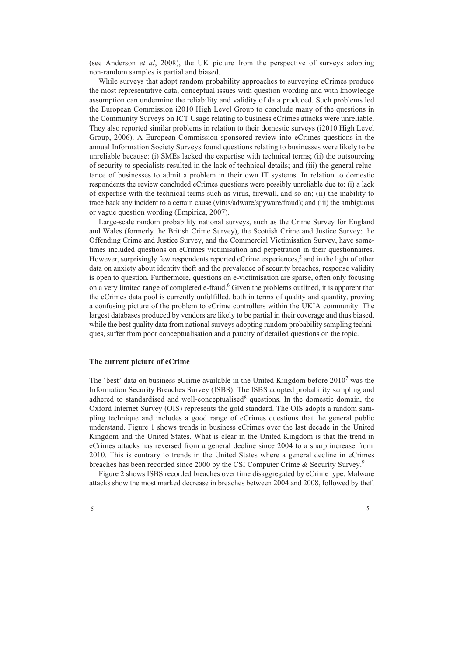(see Anderson *et al*, 2008), the UK picture from the perspective of surveys adopting non-random samples is partial and biased.

While surveys that adopt random probability approaches to surveying eCrimes produce the most representative data, conceptual issues with question wording and with knowledge assumption can undermine the reliability and validity of data produced. Such problems led the European Commission i2010 High Level Group to conclude many of the questions in the Community Surveys on ICT Usage relating to business eCrimes attacks were unreliable. They also reported similar problems in relation to their domestic surveys (i2010 High Level Group, 2006). A European Commission sponsored review into eCrimes questions in the annual Information Society Surveys found questions relating to businesses were likely to be unreliable because: (i) SMEs lacked the expertise with technical terms; (ii) the outsourcing of security to specialists resulted in the lack of technical details; and (iii) the general reluctance of businesses to admit a problem in their own IT systems. In relation to domestic respondents the review concluded eCrimes questions were possibly unreliable due to: (i) a lack of expertise with the technical terms such as virus, firewall, and so on; (ii) the inability to trace back any incident to a certain cause (virus/adware/spyware/fraud); and (iii) the ambiguous or vague question wording (Empirica, 2007).

Large-scale random probability national surveys, such as the Crime Survey for England and Wales (formerly the British Crime Survey), the Scottish Crime and Justice Survey: the Offending Crime and Justice Survey, and the Commercial Victimisation Survey, have sometimes included questions on eCrimes victimisation and perpetration in their questionnaires. However, surprisingly few respondents reported eCrime experiences,<sup>5</sup> and in the light of other data on anxiety about identity theft and the prevalence of security breaches, response validity is open to question. Furthermore, questions on e-victimisation are sparse, often only focusing on a very limited range of completed e-fraud.<sup>6</sup> Given the problems outlined, it is apparent that the eCrimes data pool is currently unfulfilled, both in terms of quality and quantity, proving a confusing picture of the problem to eCrime controllers within the UKIA community. The largest databases produced by vendors are likely to be partial in their coverage and thus biased, while the best quality data from national surveys adopting random probability sampling techniques, suffer from poor conceptualisation and a paucity of detailed questions on the topic.

## **The current picture of eCrime**

The 'best' data on business eCrime available in the United Kingdom before  $2010<sup>7</sup>$  was the Information Security Breaches Survey (ISBS). The ISBS adopted probability sampling and adhered to standardised and well-conceptualised<sup>8</sup> questions. In the domestic domain, the Oxford Internet Survey (OIS) represents the gold standard. The OIS adopts a random sampling technique and includes a good range of eCrimes questions that the general public understand. Figure 1 shows trends in business eCrimes over the last decade in the United Kingdom and the United States. What is clear in the United Kingdom is that the trend in eCrimes attacks has reversed from a general decline since 2004 to a sharp increase from 2010. This is contrary to trends in the United States where a general decline in eCrimes breaches has been recorded since 2000 by the CSI Computer Crime & Security Survey.<sup>9</sup>

Figure 2 shows ISBS recorded breaches over time disaggregated by eCrime type. Malware attacks show the most marked decrease in breaches between 2004 and 2008, followed by theft

 $5<sub>5</sub>$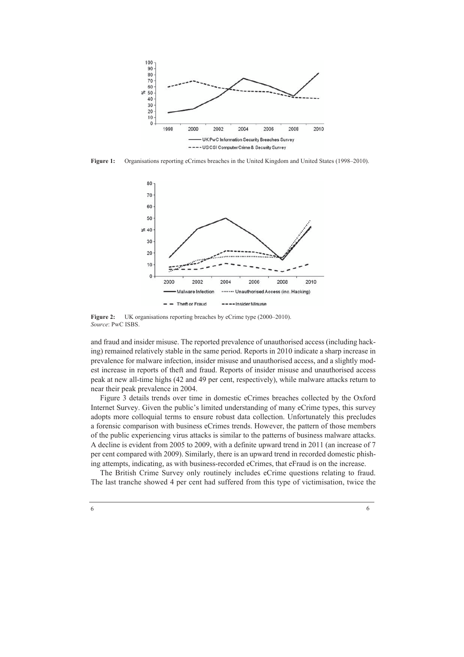

**Figure 1:** Organisations reporting eCrimes breaches in the United Kingdom and United States (1998–2010).



**Figure 2:** UK organisations reporting breaches by eCrime type (2000–2010). *Source*: PwC ISBS.

and fraud and insider misuse. The reported prevalence of unauthorised access (including hacking) remained relatively stable in the same period. Reports in 2010 indicate a sharp increase in prevalence for malware infection, insider misuse and unauthorised access, and a slightly modest increase in reports of theft and fraud. Reports of insider misuse and unauthorised access peak at new all-time highs (42 and 49 per cent, respectively), while malware attacks return to near their peak prevalence in 2004.

Figure 3 details trends over time in domestic eCrimes breaches collected by the Oxford Internet Survey. Given the public's limited understanding of many eCrime types, this survey adopts more colloquial terms to ensure robust data collection. Unfortunately this precludes a forensic comparison with business eCrimes trends. However, the pattern of those members of the public experiencing virus attacks is similar to the patterns of business malware attacks. A decline is evident from 2005 to 2009, with a definite upward trend in 2011 (an increase of 7 per cent compared with 2009). Similarly, there is an upward trend in recorded domestic phishing attempts, indicating, as with business-recorded eCrimes, that eFraud is on the increase.

The British Crime Survey only routinely includes eCrime questions relating to fraud. The last tranche showed 4 per cent had suffered from this type of victimisation, twice the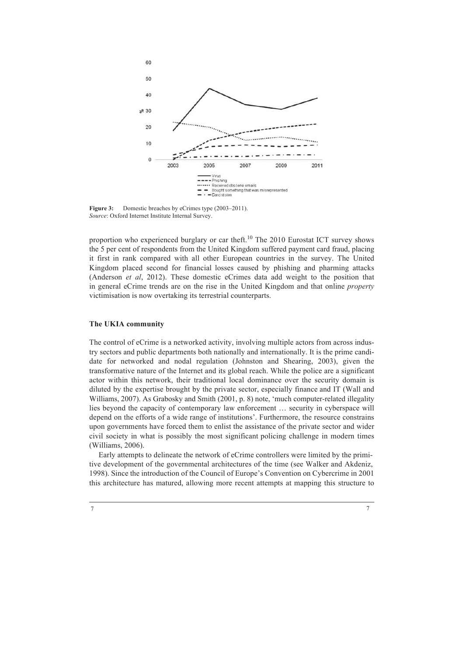

**Figure 3:** Domestic breaches by eCrimes type (2003–2011). *Source*: Oxford Internet Institute Internal Survey.

proportion who experienced burglary or car theft.<sup>10</sup> The 2010 Eurostat ICT survey shows the 5 per cent of respondents from the United Kingdom suffered payment card fraud, placing it first in rank compared with all other European countries in the survey. The United Kingdom placed second for financial losses caused by phishing and pharming attacks (Anderson *et al*, 2012). These domestic eCrimes data add weight to the position that in general eCrime trends are on the rise in the United Kingdom and that online *property*  victimisation is now overtaking its terrestrial counterparts.

#### **The UKIA community**

The control of eCrime is a networked activity, involving multiple actors from across industry sectors and public departments both nationally and internationally. It is the prime candidate for networked and nodal regulation (Johnston and Shearing, 2003), given the transformative nature of the Internet and its global reach. While the police are a significant actor within this network, their traditional local dominance over the security domain is diluted by the expertise brought by the private sector, especially finance and IT (Wall and Williams, 2007). As Grabosky and Smith (2001, p. 8) note, 'much computer-related illegality lies beyond the capacity of contemporary law enforcement … security in cyberspace will depend on the efforts of a wide range of institutions'. Furthermore, the resource constrains upon governments have forced them to enlist the assistance of the private sector and wider civil society in what is possibly the most significant policing challenge in modern times (Williams, 2006).

Early attempts to delineate the network of eCrime controllers were limited by the primitive development of the governmental architectures of the time (see Walker and Akdeniz, 1998). Since the introduction of the Council of Europe's Convention on Cybercrime in 2001 this architecture has matured, allowing more recent attempts at mapping this structure to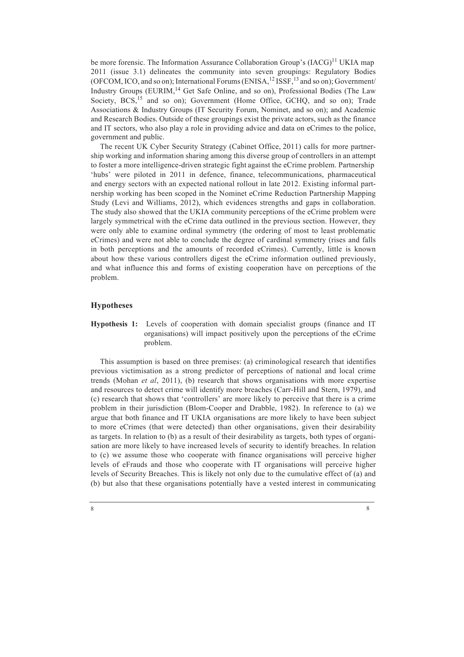be more forensic. The Information Assurance Collaboration Group's (IACG)<sup>11</sup> UKIA map 2011 (issue 3.1) delineates the community into seven groupings: Regulatory Bodies (OFCOM, ICO, and so on); International Forums ( $ENISA$ <sup>12</sup> ISSF,<sup>13</sup> and so on); Government/ Industry Groups (EURIM,<sup>14</sup> Get Safe Online, and so on), Professional Bodies (The Law Society, BCS,<sup>15</sup> and so on); Government (Home Office, GCHO, and so on); Trade Associations & Industry Groups (IT Security Forum, Nominet, and so on); and Academic and Research Bodies. Outside of these groupings exist the private actors, such as the finance and IT sectors, who also play a role in providing advice and data on eCrimes to the police, government and public.

The recent UK Cyber Security Strategy (Cabinet Office, 2011) calls for more partnership working and information sharing among this diverse group of controllers in an attempt to foster a more intelligence-driven strategic fight against the eCrime problem. Partnership 'hubs' were piloted in 2011 in defence, finance, telecommunications, pharmaceutical and energy sectors with an expected national rollout in late 2012. Existing informal partnership working has been scoped in the Nominet eCrime Reduction Partnership Mapping Study (Levi and Williams, 2012), which evidences strengths and gaps in collaboration. The study also showed that the UKIA community perceptions of the eCrime problem were largely symmetrical with the eCrime data outlined in the previous section. However, they were only able to examine ordinal symmetry (the ordering of most to least problematic eCrimes) and were not able to conclude the degree of cardinal symmetry (rises and falls in both perceptions and the amounts of recorded eCrimes). Currently, little is known about how these various controllers digest the eCrime information outlined previously, and what influence this and forms of existing cooperation have on perceptions of the problem.

# **Hypotheses**

**Hypothesis 1:** Levels of cooperation with domain specialist groups (finance and IT organisations) will impact positively upon the perceptions of the eCrime problem.

This assumption is based on three premises: (a) criminological research that identifies previous victimisation as a strong predictor of perceptions of national and local crime trends (Mohan *et al*, 2011), (b) research that shows organisations with more expertise and resources to detect crime will identify more breaches (Carr-Hill and Stern, 1979), and (c) research that shows that 'controllers' are more likely to perceive that there is a crime problem in their jurisdiction (Blom-Cooper and Drabble, 1982). In reference to (a) we argue that both finance and IT UKIA organisations are more likely to have been subject to more eCrimes (that were detected) than other organisations, given their desirability as targets. In relation to (b) as a result of their desirability as targets, both types of organisation are more likely to have increased levels of security to identify breaches. In relation to (c) we assume those who cooperate with finance organisations will perceive higher levels of eFrauds and those who cooperate with IT organisations will perceive higher levels of Security Breaches. This is likely not only due to the cumulative effect of (a) and (b) but also that these organisations potentially have a vested interest in communicating

 $8<sup>8</sup>$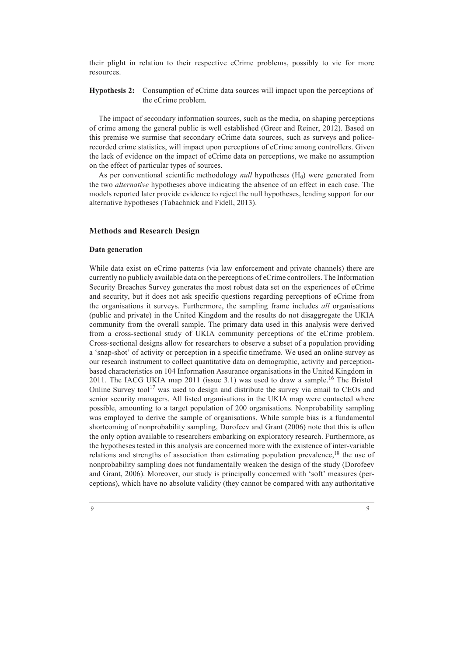their plight in relation to their respective eCrime problems, possibly to vie for more resources.

# **Hypothesis 2:** Consumption of eCrime data sources will impact upon the perceptions of the eCrime problem*.*

The impact of secondary information sources, such as the media, on shaping perceptions of crime among the general public is well established (Greer and Reiner, 2012). Based on this premise we surmise that secondary eCrime data sources, such as surveys and policerecorded crime statistics, will impact upon perceptions of eCrime among controllers. Given the lack of evidence on the impact of eCrime data on perceptions, we make no assumption on the effect of particular types of sources.

As per conventional scientific methodology *null* hypotheses  $(H_0)$  were generated from the two *alternative* hypotheses above indicating the absence of an effect in each case. The models reported later provide evidence to reject the null hypotheses, lending support for our alternative hypotheses (Tabachnick and Fidell, 2013).

# **Methods and Research Design**

## **Data generation**

While data exist on eCrime patterns (via law enforcement and private channels) there are currently no publicly available data on the perceptions of eCrime controllers. The Information Security Breaches Survey generates the most robust data set on the experiences of eCrime and security, but it does not ask specific questions regarding perceptions of eCrime from the organisations it surveys. Furthermore, the sampling frame includes *all* organisations (public and private) in the United Kingdom and the results do not disaggregate the UKIA community from the overall sample. The primary data used in this analysis were derived from a cross-sectional study of UKIA community perceptions of the eCrime problem. Cross-sectional designs allow for researchers to observe a subset of a population providing a 'snap-shot' of activity or perception in a specific timeframe. We used an online survey as our research instrument to collect quantitative data on demographic, activity and perceptionbased characteristics on 104 Information Assurance organisations in the United Kingdom in 2011. The IACG UKIA map 2011 (issue 3.1) was used to draw a sample.<sup>16</sup> The Bristol Online Survey tool<sup>17</sup> was used to design and distribute the survey via email to CEOs and senior security managers. All listed organisations in the UKIA map were contacted where possible, amounting to a target population of 200 organisations. Nonprobability sampling was employed to derive the sample of organisations. While sample bias is a fundamental shortcoming of nonprobability sampling, Dorofeev and Grant (2006) note that this is often the only option available to researchers embarking on exploratory research. Furthermore, as the hypotheses tested in this analysis are concerned more with the existence of inter-variable relations and strengths of association than estimating population prevalence,<sup>18</sup> the use of nonprobability sampling does not fundamentally weaken the design of the study (Dorofeev and Grant, 2006). Moreover, our study is principally concerned with 'soft' measures (perceptions), which have no absolute validity (they cannot be compared with any authoritative

#### $9<sup>9</sup>$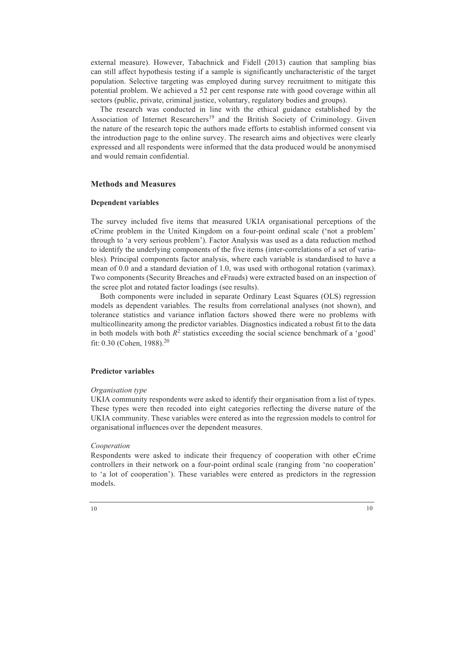external measure). However, Tabachnick and Fidell (2013) caution that sampling bias can still affect hypothesis testing if a sample is significantly uncharacteristic of the target population. Selective targeting was employed during survey recruitment to mitigate this potential problem. We achieved a 52 per cent response rate with good coverage within all sectors (public, private, criminal justice, voluntary, regulatory bodies and groups).

The research was conducted in line with the ethical guidance established by the Association of Internet Researchers<sup>19</sup> and the British Society of Criminology. Given the nature of the research topic the authors made efforts to establish informed consent via the introduction page to the online survey. The research aims and objectives were clearly expressed and all respondents were informed that the data produced would be anonymised and would remain confidential.

# **Methods and Measures**

#### **Dependent variables**

The survey included five items that measured UKIA organisational perceptions of the eCrime problem in the United Kingdom on a four-point ordinal scale ('not a problem' through to 'a very serious problem'). Factor Analysis was used as a data reduction method to identify the underlying components of the five items (inter-correlations of a set of variables). Principal components factor analysis, where each variable is standardised to have a mean of 0.0 and a standard deviation of 1.0, was used with orthogonal rotation (varimax). Two components (Security Breaches and eFrauds) were extracted based on an inspection of the scree plot and rotated factor loadings (see results).

Both components were included in separate Ordinary Least Squares (OLS) regression models as dependent variables. The results from correlational analyses (not shown), and tolerance statistics and variance inflation factors showed there were no problems with multicollinearity among the predictor variables. Diagnostics indicated a robust fit to the data in both models with both  $R^2$  statistics exceeding the social science benchmark of a 'good' fit: 0.30 (Cohen, 1988).<sup>20</sup>

## **Predictor variables**

#### *Organisation type*

UKIA community respondents were asked to identify their organisation from a list of types. These types were then recoded into eight categories reflecting the diverse nature of the UKIA community. These variables were entered as into the regression models to control for organisational influences over the dependent measures.

#### *Cooperation*

Respondents were asked to indicate their frequency of cooperation with other eCrime controllers in their network on a four-point ordinal scale (ranging from 'no cooperation' to 'a lot of cooperation'). These variables were entered as predictors in the regression models.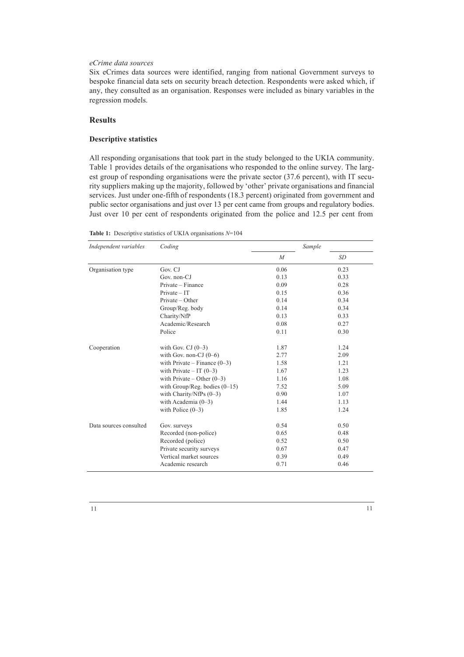# *eCrime data sources*

Six eCrimes data sources were identified, ranging from national Government surveys to bespoke financial data sets on security breach detection. Respondents were asked which, if any, they consulted as an organisation. Responses were included as binary variables in the regression models.

# **Results**

#### **Descriptive statistics**

All responding organisations that took part in the study belonged to the UKIA community. Table 1 provides details of the organisations who responded to the online survey. The largest group of responding organisations were the private sector (37.6 percent), with IT security suppliers making up the majority, followed by 'other' private organisations and financial services. Just under one-fifth of respondents (18.3 percent) originated from government and public sector organisations and just over 13 per cent came from groups and regulatory bodies. Just over 10 per cent of respondents originated from the police and 12.5 per cent from

| Independent variables  | Coding                          | Sample           |      |
|------------------------|---------------------------------|------------------|------|
|                        |                                 | $\boldsymbol{M}$ | SD.  |
| Organisation type      | Gov. CJ                         | 0.06             | 0.23 |
|                        | Gov. non-CJ                     | 0.13             | 0.33 |
|                        | Private – Finance               | 0.09             | 0.28 |
|                        | $Private-IT$                    | 0.15             | 0.36 |
|                        | Private – Other                 | 0.14             | 0.34 |
|                        | Group/Reg. body                 | 0.14             | 0.34 |
|                        | Charity/NfP                     | 0.13             | 0.33 |
|                        | Academic/Research               | 0.08             | 0.27 |
|                        | Police                          | 0.11             | 0.30 |
| Cooperation            | with Gov. $CI(0-3)$             | 1.87             | 1.24 |
|                        | with Gov. non-CJ $(0-6)$        | 2.77             | 2.09 |
|                        | with Private – Finance $(0-3)$  | 1.58             | 1.21 |
|                        | with Private $-IT(0-3)$         | 1.67             | 1.23 |
|                        | with Private – Other $(0-3)$    | 1.16             | 1.08 |
|                        | with Group/Reg. bodies $(0-15)$ | 7.52             | 5.09 |
|                        | with Charity/NfPs $(0-3)$       | 0.90             | 1.07 |
|                        | with Academia $(0-3)$           | 1.44             | 1.13 |
|                        | with Police $(0-3)$             | 1.85             | 1.24 |
| Data sources consulted | Gov. surveys                    | 0.54             | 0.50 |
|                        | Recorded (non-police)           | 0.65             | 0.48 |
|                        | Recorded (police)               | 0.52             | 0.50 |
|                        | Private security surveys        | 0.67             | 0.47 |
|                        | Vertical market sources         | 0.39             | 0.49 |
|                        | Academic research               | 0.71             | 0.46 |

**Table 1:** Descriptive statistics of UKIA organisations *N*=104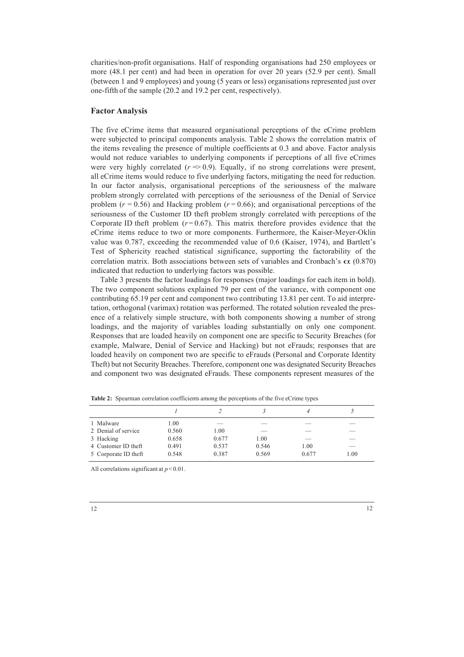charities/non-profit organisations. Half of responding organisations had 250 employees or more (48.1 per cent) and had been in operation for over 20 years (52.9 per cent). Small (between 1 and 9 employees) and young (5 years or less) organisations represented just over one-fifth of the sample (20.2 and 19.2 per cent, respectively).

#### **Factor Analysis**

The five eCrime items that measured organisational perceptions of the eCrime problem were subjected to principal components analysis. Table 2 shows the correlation matrix of the items revealing the presence of multiple coefficients at 0.3 and above. Factor analysis would not reduce variables to underlying components if perceptions of all five eCrimes were very highly correlated  $(r \Rightarrow 0.9)$ . Equally, if no strong correlations were present, all eCrime items would reduce to five underlying factors, mitigating the need for reduction. In our factor analysis, organisational perceptions of the seriousness of the malware problem strongly correlated with perceptions of the seriousness of the Denial of Service problem  $(r = 0.56)$  and Hacking problem  $(r = 0.66)$ ; and organisational perceptions of the seriousness of the Customer ID theft problem strongly correlated with perceptions of the Corporate ID theft problem  $(r=0.67)$ . This matrix therefore provides evidence that the eCrime items reduce to two or more components. Furthermore, the Kaiser-Meyer-Oklin value was 0.787, exceeding the recommended value of 0.6 (Kaiser, 1974), and Bartlett's Test of Sphericity reached statistical significance, supporting the factorability of the correlation matrix. Both associations between sets of variables and Cronbach's  $\alpha$  (0.870) indicated that reduction to underlying factors was possible.

Table 3 presents the factor loadings for responses (major loadings for each item in bold). The two component solutions explained 79 per cent of the variance, with component one contributing 65.19 per cent and component two contributing 13.81 per cent. To aid interpretation, orthogonal (varimax) rotation was performed. The rotated solution revealed the presence of a relatively simple structure, with both components showing a number of strong loadings, and the majority of variables loading substantially on only one component. Responses that are loaded heavily on component one are specific to Security Breaches (for example, Malware, Denial of Service and Hacking) but not eFrauds; responses that are loaded heavily on component two are specific to eFrauds (Personal and Corporate Identity Theft) but not Security Breaches. Therefore, component one was designated Security Breaches and component two was designated eFrauds. These components represent measures of the

| 1 Malware            | 1.00  | __    |       |       |      |  |
|----------------------|-------|-------|-------|-------|------|--|
| 2 Denial of service  | 0.560 | 1.00  | ___   |       |      |  |
| 3 Hacking            | 0.658 | 0.677 | 1.00  |       |      |  |
| 4 Customer ID theft  | 0.491 | 0.537 | 0.546 | 1.00  |      |  |
| 5 Corporate ID theft | 0.548 | 0.387 | 0.569 | 0.677 | 1.00 |  |

**Table 2:** Spearman correlation coefficients among the perceptions of the five eCrime types

All correlations significant at  $p < 0.01$ .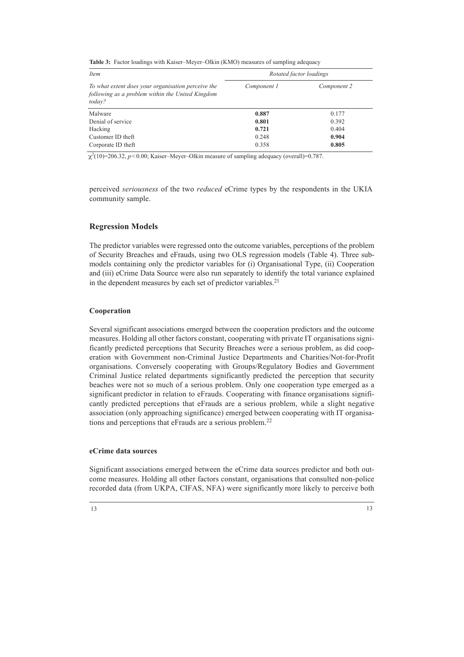|  |  |  | Table 3: Factor loadings with Kaiser–Meyer–Olkin (KMO) measures of sampling adequacy |  |  |  |  |
|--|--|--|--------------------------------------------------------------------------------------|--|--|--|--|
|--|--|--|--------------------------------------------------------------------------------------|--|--|--|--|

| Item                                                                                                             | Rotated factor loadings |             |  |  |
|------------------------------------------------------------------------------------------------------------------|-------------------------|-------------|--|--|
| To what extent does your organisation perceive the<br>following as a problem within the United Kingdom<br>today? | Component 1             | Component 2 |  |  |
| Malware                                                                                                          | 0.887                   | 0.177       |  |  |
| Denial of service                                                                                                | 0.801                   | 0.392       |  |  |
| Hacking                                                                                                          | 0.721                   | 0.404       |  |  |
| Customer ID theft                                                                                                | 0.248                   | 0.904       |  |  |
| Corporate ID theft                                                                                               | 0.358                   | 0.805       |  |  |

 $\chi^2(10)=206.32, p<0.00;$  Kaiser–Meyer–Olkin measure of sampling adequacy (overall)=0.787.

perceived *seriousness* of the two *reduced* eCrime types by the respondents in the UKIA community sample.

# **Regression Models**

The predictor variables were regressed onto the outcome variables, perceptions of the problem of Security Breaches and eFrauds, using two OLS regression models (Table 4). Three submodels containing only the predictor variables for (i) Organisational Type, (ii) Cooperation and (iii) eCrime Data Source were also run separately to identify the total variance explained in the dependent measures by each set of predictor variables. $2<sup>1</sup>$ 

### **Cooperation**

Several significant associations emerged between the cooperation predictors and the outcome measures. Holding all other factors constant, cooperating with private IT organisations significantly predicted perceptions that Security Breaches were a serious problem, as did cooperation with Government non-Criminal Justice Departments and Charities/Not-for-Profit organisations. Conversely cooperating with Groups/Regulatory Bodies and Government Criminal Justice related departments significantly predicted the perception that security beaches were not so much of a serious problem. Only one cooperation type emerged as a significant predictor in relation to eFrauds. Cooperating with finance organisations significantly predicted perceptions that eFrauds are a serious problem, while a slight negative association (only approaching significance) emerged between cooperating with IT organisations and perceptions that eFrauds are a serious problem.<sup>22</sup>

## **eCrime data sources**

Significant associations emerged between the eCrime data sources predictor and both outcome measures. Holding all other factors constant, organisations that consulted non-police recorded data (from UKPA, CIFAS, NFA) were significantly more likely to perceive both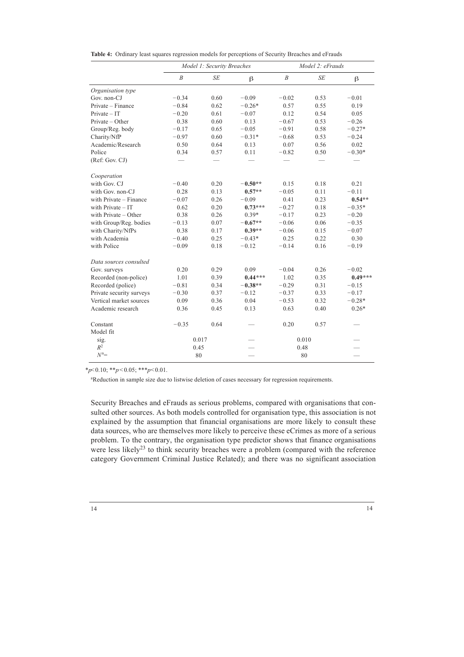|  |  |  |  |  | Table 4: Ordinary least squares regression models for perceptions of Security Breaches and eFrauds |  |  |  |
|--|--|--|--|--|----------------------------------------------------------------------------------------------------|--|--|--|
|--|--|--|--|--|----------------------------------------------------------------------------------------------------|--|--|--|

|                          | Model 1: Security Breaches |       |           | Model 2: eFrauds |           |           |  |
|--------------------------|----------------------------|-------|-----------|------------------|-----------|-----------|--|
|                          | B                          | SE    | β         | $\boldsymbol{B}$ | $\cal SE$ | β         |  |
| Organisation type        |                            |       |           |                  |           |           |  |
| Gov. non-CJ              | $-0.34$                    | 0.60  | $-0.09$   | $-0.02$          | 0.53      | $-0.01$   |  |
| Private – Finance        | $-0.84$                    | 0.62  | $-0.26*$  | 0.57             | 0.55      | 0.19      |  |
| $Private-IT$             | $-0.20$                    | 0.61  | $-0.07$   | 0.12             | 0.54      | 0.05      |  |
| Private – Other          | 0.38                       | 0.60  | 0.13      | $-0.67$          | 0.53      | $-0.26$   |  |
| Group/Reg. body          | $-0.17$                    | 0.65  | $-0.05$   | $-0.91$          | 0.58      | $-0.27*$  |  |
| Charity/NfP              | $-0.97$                    | 0.60  | $-0.31*$  | $-0.68$          | 0.53      | $-0.24$   |  |
| Academic/Research        | 0.50                       | 0.64  | 0.13      | 0.07             | 0.56      | 0.02      |  |
| Police                   | 0.34                       | 0.57  | 0.11      | $-0.82$          | 0.50      | $-0.30*$  |  |
| (Ref: Gov. CJ)           |                            |       |           |                  |           |           |  |
| Cooperation              |                            |       |           |                  |           |           |  |
| with Gov. CJ             | $-0.40$                    | 0.20  | $-0.50**$ | 0.15             | 0.18      | 0.21      |  |
| with Gov. non-CJ         | 0.28                       | 0.13  | $0.57**$  | $-0.05$          | 0.11      | $-0.11$   |  |
| with Private – Finance   | $-0.07$                    | 0.26  | $-0.09$   | 0.41             | 0.23      | $0.54**$  |  |
| with Private - IT        | 0.62                       | 0.20  | $0.73***$ | $-0.27$          | 0.18      | $-0.35*$  |  |
| with Private $-$ Other   | 0.38                       | 0.26  | $0.39*$   | $-0.17$          | 0.23      | $-0.20$   |  |
| with Group/Reg. bodies   | $-0.13$                    | 0.07  | $-0.67**$ | $-0.06$          | 0.06      | $-0.35$   |  |
| with Charity/NfPs        | 0.38                       | 0.17  | $0.39**$  | $-0.06$          | 0.15      | $-0.07$   |  |
| with Academia            | $-0.40$                    | 0.25  | $-0.43*$  | 0.25             | 0.22      | 0.30      |  |
| with Police              | $-0.09$                    | 0.18  | $-0.12$   | $-0.14$          | 0.16      | $-0.19$   |  |
| Data sources consulted   |                            |       |           |                  |           |           |  |
| Gov. surveys             | 0.20                       | 0.29  | 0.09      | $-0.04$          | 0.26      | $-0.02$   |  |
| Recorded (non-police)    | 1.01                       | 0.39  | $0.44***$ | 1.02             | 0.35      | $0.49***$ |  |
| Recorded (police)        | $-0.81$                    | 0.34  | $-0.38**$ | $-0.29$          | 0.31      | $-0.15$   |  |
| Private security surveys | $-0.30$                    | 0.37  | $-0.12$   | $-0.37$          | 0.33      | $-0.17$   |  |
| Vertical market sources  | 0.09                       | 0.36  | 0.04      | $-0.53$          | 0.32      | $-0.28*$  |  |
| Academic research        | 0.36                       | 0.45  | 0.13      | 0.63             | 0.40      | $0.26*$   |  |
| Constant                 | $-0.35$                    | 0.64  |           | 0.20             | 0.57      |           |  |
| Model fit                |                            |       |           |                  |           |           |  |
| sig.                     |                            | 0.017 |           |                  | 0.010     |           |  |
| $R^2$                    | 0.45                       |       |           | 0.48             |           |           |  |
| $N^{\rm a}$ =            | 80                         |       |           |                  | 80        |           |  |

\**p*<0.10; \*\**p*<0.05; \*\*\**p*<0.01.

a Reduction in sample size due to listwise deletion of cases necessary for regression requirements.

Security Breaches and eFrauds as serious problems, compared with organisations that consulted other sources. As both models controlled for organisation type, this association is not explained by the assumption that financial organisations are more likely to consult these data sources, who are themselves more likely to perceive these eCrimes as more of a serious problem. To the contrary, the organisation type predictor shows that finance organisations were less likely<sup>23</sup> to think security breaches were a problem (compared with the reference category Government Criminal Justice Related); and there was no significant association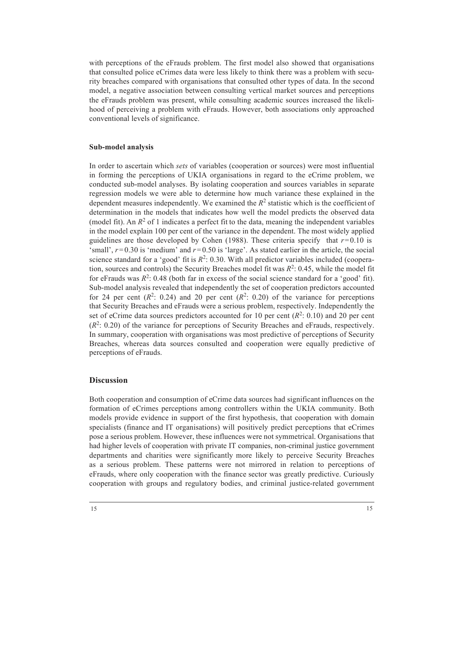with perceptions of the eFrauds problem. The first model also showed that organisations that consulted police eCrimes data were less likely to think there was a problem with security breaches compared with organisations that consulted other types of data. In the second model, a negative association between consulting vertical market sources and perceptions the eFrauds problem was present, while consulting academic sources increased the likelihood of perceiving a problem with eFrauds. However, both associations only approached conventional levels of significance.

#### **Sub-model analysis**

In order to ascertain which *sets* of variables (cooperation or sources) were most influential in forming the perceptions of UKIA organisations in regard to the eCrime problem, we conducted sub-model analyses. By isolating cooperation and sources variables in separate regression models we were able to determine how much variance these explained in the dependent measures independently. We examined the  $R^2$  statistic which is the coefficient of determination in the models that indicates how well the model predicts the observed data (model fit). An  $R^2$  of 1 indicates a perfect fit to the data, meaning the independent variables in the model explain 100 per cent of the variance in the dependent. The most widely applied guidelines are those developed by Cohen (1988). These criteria specify that  $r=0.10$  is 'small', *r* = 0.30 is 'medium' and *r* = 0.50 is 'large'. As stated earlier in the article, the social science standard for a 'good' fit is  $R^2$ : 0.30. With all predictor variables included (cooperation, sources and controls) the Security Breaches model fit was  $R^2$ : 0.45, while the model fit for eFrauds was  $R^2$ : 0.48 (both far in excess of the social science standard for a 'good' fit). Sub-model analysis revealed that independently the set of cooperation predictors accounted for 24 per cent  $(R^2: 0.24)$  and 20 per cent  $(R^2: 0.20)$  of the variance for perceptions that Security Breaches and eFrauds were a serious problem, respectively. Independently the set of eCrime data sources predictors accounted for 10 per cent  $(R^2: 0.10)$  and 20 per cent  $(R<sup>2</sup>: 0.20)$  of the variance for perceptions of Security Breaches and eFrauds, respectively. In summary, cooperation with organisations was most predictive of perceptions of Security Breaches, whereas data sources consulted and cooperation were equally predictive of perceptions of eFrauds.

# **Discussion**

Both cooperation and consumption of eCrime data sources had significant influences on the formation of eCrimes perceptions among controllers within the UKIA community. Both models provide evidence in support of the first hypothesis, that cooperation with domain specialists (finance and IT organisations) will positively predict perceptions that eCrimes pose a serious problem. However, these influences were not symmetrical. Organisations that had higher levels of cooperation with private IT companies, non-criminal justice government departments and charities were significantly more likely to perceive Security Breaches as a serious problem. These patterns were not mirrored in relation to perceptions of eFrauds, where only cooperation with the finance sector was greatly predictive. Curiously cooperation with groups and regulatory bodies, and criminal justice-related government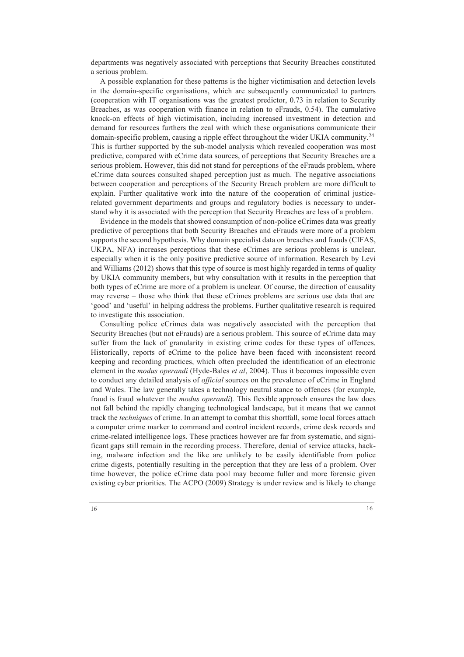departments was negatively associated with perceptions that Security Breaches constituted a serious problem.

A possible explanation for these patterns is the higher victimisation and detection levels in the domain-specific organisations, which are subsequently communicated to partners (cooperation with IT organisations was the greatest predictor, 0.73 in relation to Security Breaches, as was cooperation with finance in relation to eFrauds, 0.54). The cumulative knock-on effects of high victimisation, including increased investment in detection and demand for resources furthers the zeal with which these organisations communicate their domain-specific problem, causing a ripple effect throughout the wider UKIA community.<sup>24</sup> This is further supported by the sub-model analysis which revealed cooperation was most predictive, compared with eCrime data sources, of perceptions that Security Breaches are a serious problem. However, this did not stand for perceptions of the eFrauds problem, where eCrime data sources consulted shaped perception just as much. The negative associations between cooperation and perceptions of the Security Breach problem are more difficult to explain. Further qualitative work into the nature of the cooperation of criminal justicerelated government departments and groups and regulatory bodies is necessary to understand why it is associated with the perception that Security Breaches are less of a problem.

Evidence in the models that showed consumption of non-police eCrimes data was greatly predictive of perceptions that both Security Breaches and eFrauds were more of a problem supports the second hypothesis. Why domain specialist data on breaches and frauds (CIFAS, UKPA, NFA) increases perceptions that these eCrimes are serious problems is unclear, especially when it is the only positive predictive source of information. Research by Levi and Williams (2012) shows that this type of source is most highly regarded in terms of quality by UKIA community members, but why consultation with it results in the perception that both types of eCrime are more of a problem is unclear. Of course, the direction of causality may reverse – those who think that these eCrimes problems are serious use data that are 'good' and 'useful' in helping address the problems. Further qualitative research is required to investigate this association.

Consulting police eCrimes data was negatively associated with the perception that Security Breaches (but not eFrauds) are a serious problem. This source of eCrime data may suffer from the lack of granularity in existing crime codes for these types of offences. Historically, reports of eCrime to the police have been faced with inconsistent record keeping and recording practices, which often precluded the identification of an electronic element in the *modus operandi* (Hyde-Bales *et al*, 2004). Thus it becomes impossible even to conduct any detailed analysis of *official* sources on the prevalence of eCrime in England and Wales. The law generally takes a technology neutral stance to offences (for example, fraud is fraud whatever the *modus operandi*)*.* This flexible approach ensures the law does not fall behind the rapidly changing technological landscape, but it means that we cannot track the *techniques* of crime. In an attempt to combat this shortfall, some local forces attach a computer crime marker to command and control incident records, crime desk records and crime-related intelligence logs. These practices however are far from systematic, and significant gaps still remain in the recording process. Therefore, denial of service attacks, hacking, malware infection and the like are unlikely to be easily identifiable from police crime digests, potentially resulting in the perception that they are less of a problem. Over time however, the police eCrime data pool may become fuller and more forensic given existing cyber priorities. The ACPO (2009) Strategy is under review and is likely to change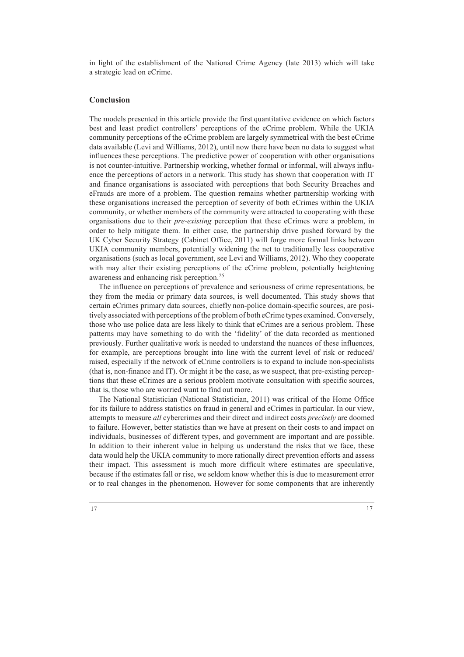in light of the establishment of the National Crime Agency (late 2013) which will take a strategic lead on eCrime.

# **Conclusion**

The models presented in this article provide the first quantitative evidence on which factors best and least predict controllers' perceptions of the eCrime problem. While the UKIA community perceptions of the eCrime problem are largely symmetrical with the best eCrime data available (Levi and Williams, 2012), until now there have been no data to suggest what influences these perceptions. The predictive power of cooperation with other organisations is not counter-intuitive. Partnership working, whether formal or informal, will always influence the perceptions of actors in a network. This study has shown that cooperation with IT and finance organisations is associated with perceptions that both Security Breaches and eFrauds are more of a problem. The question remains whether partnership working with these organisations increased the perception of severity of both eCrimes within the UKIA community, or whether members of the community were attracted to cooperating with these organisations due to their *pre-existing* perception that these eCrimes were a problem, in order to help mitigate them. In either case, the partnership drive pushed forward by the UK Cyber Security Strategy (Cabinet Office, 2011) will forge more formal links between UKIA community members, potentially widening the net to traditionally less cooperative organisations (such as local government, see Levi and Williams, 2012). Who they cooperate with may alter their existing perceptions of the eCrime problem, potentially heightening awareness and enhancing risk perception.<sup>25</sup>

The influence on perceptions of prevalence and seriousness of crime representations, be they from the media or primary data sources, is well documented. This study shows that certain eCrimes primary data sources, chiefly non-police domain-specific sources, are positively associated with perceptions ofthe problem of both eCrime types examined.Conversely, those who use police data are less likely to think that eCrimes are a serious problem. These patterns may have something to do with the 'fidelity' of the data recorded as mentioned previously. Further qualitative work is needed to understand the nuances of these influences, for example, are perceptions brought into line with the current level of risk or reduced/ raised, especially if the network of eCrime controllers is to expand to include non-specialists (that is, non-finance and IT). Or might it be the case, as we suspect, that pre-existing perceptions that these eCrimes are a serious problem motivate consultation with specific sources, that is, those who are worried want to find out more.

The National Statistician (National Statistician, 2011) was critical of the Home Office for its failure to address statistics on fraud in general and eCrimes in particular. In our view, attempts to measure *all* cybercrimes and their direct and indirect costs *precisely* are doomed to failure. However, better statistics than we have at present on their costs to and impact on individuals, businesses of different types, and government are important and are possible. In addition to their inherent value in helping us understand the risks that we face, these data would help the UKIA community to more rationally direct prevention efforts and assess their impact. This assessment is much more difficult where estimates are speculative, because if the estimates fall or rise, we seldom know whether this is due to measurement error or to real changes in the phenomenon. However for some components that are inherently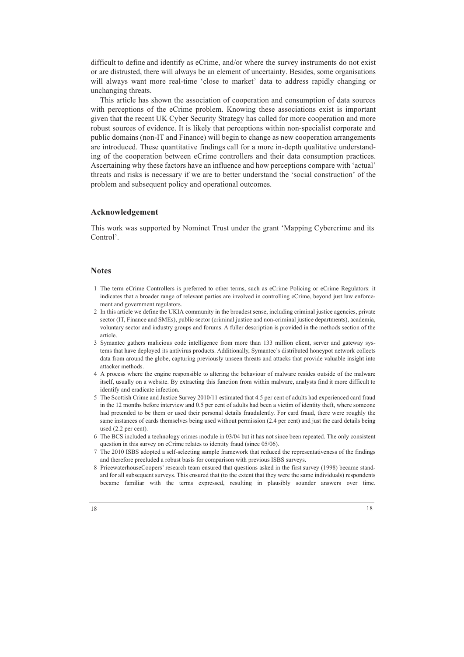difficult to define and identify as eCrime, and/or where the survey instruments do not exist or are distrusted, there will always be an element of uncertainty. Besides, some organisations will always want more real-time 'close to market' data to address rapidly changing or unchanging threats.

This article has shown the association of cooperation and consumption of data sources with perceptions of the eCrime problem. Knowing these associations exist is important given that the recent UK Cyber Security Strategy has called for more cooperation and more robust sources of evidence. It is likely that perceptions within non-specialist corporate and public domains (non-IT and Finance) will begin to change as new cooperation arrangements are introduced. These quantitative findings call for a more in-depth qualitative understanding of the cooperation between eCrime controllers and their data consumption practices. Ascertaining why these factors have an influence and how perceptions compare with 'actual' threats and risks is necessary if we are to better understand the 'social construction' of the problem and subsequent policy and operational outcomes.

### **Acknowledgement**

This work was supported by Nominet Trust under the grant 'Mapping Cybercrime and its Control'.

## **Notes**

- 1 The term eCrime Controllers is preferred to other terms, such as eCrime Policing or eCrime Regulators: it indicates that a broader range of relevant parties are involved in controlling eCrime, beyond just law enforcement and government regulators.
- 2 In this article we define the UKIA community in the broadest sense, including criminal justice agencies, private sector (IT, Finance and SMEs), public sector (criminal justice and non-criminal justice departments), academia, voluntary sector and industry groups and forums. A fuller description is provided in the methods section of the article.
- 3 Symantec gathers malicious code intelligence from more than 133 million client, server and gateway systems that have deployed its antivirus products. Additionally, Symantec's distributed honeypot network collects data from around the globe, capturing previously unseen threats and attacks that provide valuable insight into attacker methods.
- 4 A process where the engine responsible to altering the behaviour of malware resides outside of the malware itself, usually on a website. By extracting this function from within malware, analysts find it more difficult to identify and eradicate infection.
- 5 The Scottish Crime and Justice Survey 2010/11 estimated that 4.5 per cent of adults had experienced card fraud in the 12 months before interview and 0.5 per cent of adults had been a victim of identity theft, where someone had pretended to be them or used their personal details fraudulently. For card fraud, there were roughly the same instances of cards themselves being used without permission (2.4 per cent) and just the card details being used (2.2 per cent).
- 6 The BCS included a technology crimes module in 03/04 but it has not since been repeated. The only consistent question in this survey on eCrime relates to identity fraud (since 05/06).
- 7 The 2010 ISBS adopted a self-selecting sample framework that reduced the representativeness of the findings and therefore precluded a robust basis for comparison with previous ISBS surveys.
- 8 PricewaterhouseCoopers' research team ensured that questions asked in the first survey (1998) became standard for all subsequent surveys. This ensured that (to the extent that they were the same individuals) respondents became familiar with the terms expressed, resulting in plausibly sounder answers over time.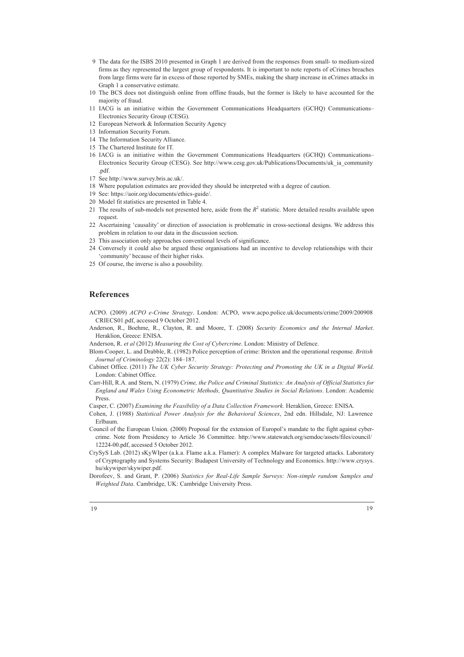- 9 The data for the ISBS 2010 presented in Graph 1 are derived from the responses from small- to medium-sized firms as they represented the largest group of respondents. It is important to note reports of eCrimes breaches from large firms were far in excess of those reported by SMEs, making the sharp increase in eCrimes attacks in Graph 1 a conservative estimate.
- 10 The BCS does not distinguish online from offline frauds, but the former is likely to have accounted for the majority of fraud.
- 11 IACG is an initiative within the Government Communications Headquarters (GCHQ) Communications– Electronics Security Group (CESG).
- 12 European Network & Information Security Agency
- 13 Information Security Forum.
- 14 The Information Security Alliance.
- 15 The Chartered Institute for IT.
- 16 IACG is an initiative within the Government Communications Headquarters (GCHQ) Communications– Electronics Security Group (CESG). See http://www.cesg.gov.uk/Publications/Documents/uk\_ia\_community .pdf.
- 17 See http://www.survey.bris.ac.uk/.
- 18 Where population estimates are provided they should be interpreted with a degree of caution.
- 19 See: https://aoir.org/documents/ethics-guide/.
- 20 Model fit statistics are presented in Table 4.
- 21 The results of sub-models not presented here, aside from the  $R^2$  statistic. More detailed results available upon request.
- 22 Ascertaining 'causality' or direction of association is problematic in cross-sectional designs. We address this problem in relation to our data in the discussion section.
- 23 This association only approaches conventional levels of significance.
- 24 Conversely it could also be argued these organisations had an incentive to develop relationships with their 'community' because of their higher risks.
- 25 Of course, the inverse is also a possibility.

# **References**

- ACPO. (2009) *ACPO e-Crime Strategy*. London: ACPO, www.acpo.police.uk/documents/crime/2009/200908 CRIECS01.pdf, accessed 9 October 2012.
- Anderson, R., Boehme, R., Clayton, R. and Moore, T. (2008) *Security Economics and the Internal Market*. Heraklion, Greece: ENISA.
- Anderson, R. *et al* (2012) *Measuring the Cost of Cybercrime*. London: Ministry of Defence.
- Blom-Cooper, L. and Drabble, R. (1982) Police perception of crime: Brixton and the operational response. *British Journal of Criminology* 22(2): 184–187.
- Cabinet Office. (2011) *The UK Cyber Security Strategy: Protecting and Promoting the UK in a Digital World*. London: Cabinet Office.
- Carr-Hill, R.A. and Stern, N. (1979) *Crime, the Police and Criminal Statistics: An Analysis of Official Statistics for England and Wales Using Econometric Methods, Quantitative Studies in Social Relations*. London: Academic Press.
- Casper, C. (2007) *Examining the Feasibility of a Data Collection Framework.* Heraklion, Greece: ENISA.
- Cohen, J. (1988) *Statistical Power Analysis for the Behavioral Sciences*, 2nd edn. Hillsdale, NJ: Lawrence Erlbaum.
- Council of the European Union. (2000) Proposal for the extension of Europol's mandate to the fight against cybercrime. Note from Presidency to Article 36 Committee. http://www.statewatch.org/semdoc/assets/files/council/ 12224-00.pdf, accessed 5 October 2012.
- CrySyS Lab. (2012) sKyWIper (a.k.a. Flame a.k.a. Flamer): A complex Malware for targeted attacks. Laboratory of Cryptography and Systems Security: Budapest University of Technology and Economics. http://www.crysys. hu/skywiper/skywiper.pdf.
- Dorofeev, S. and Grant, P. (2006) *Statistics for Real-Life Sample Surveys: Non-simple random Samples and Weighted Data*. Cambridge, UK: Cambridge University Press.